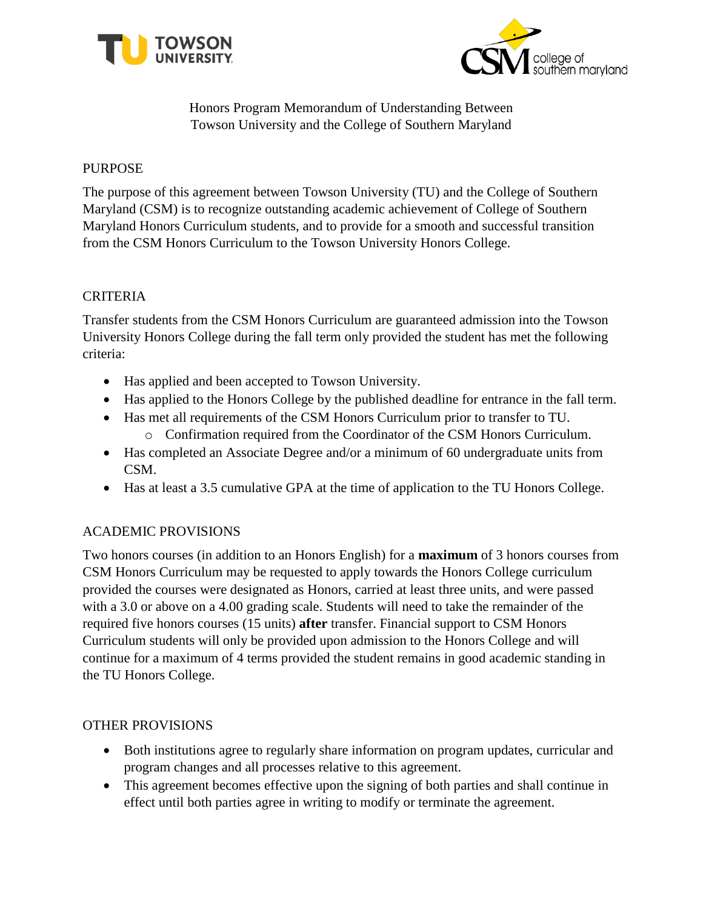



Honors Program Memorandum of Understanding Between Towson University and the College of Southern Maryland

# PURPOSE

The purpose of this agreement between Towson University (TU) and the College of Southern Maryland (CSM) is to recognize outstanding academic achievement of College of Southern Maryland Honors Curriculum students, and to provide for a smooth and successful transition from the CSM Honors Curriculum to the Towson University Honors College.

# CRITERIA

Transfer students from the CSM Honors Curriculum are guaranteed admission into the Towson University Honors College during the fall term only provided the student has met the following criteria:

- Has applied and been accepted to Towson University.
- Has applied to the Honors College by the published deadline for entrance in the fall term.
- Has met all requirements of the CSM Honors Curriculum prior to transfer to TU.
	- o Confirmation required from the Coordinator of the CSM Honors Curriculum.
- Has completed an Associate Degree and/or a minimum of 60 undergraduate units from CSM.
- Has at least a 3.5 cumulative GPA at the time of application to the TU Honors College.

# ACADEMIC PROVISIONS

Two honors courses (in addition to an Honors English) for a **maximum** of 3 honors courses from CSM Honors Curriculum may be requested to apply towards the Honors College curriculum provided the courses were designated as Honors, carried at least three units, and were passed with a 3.0 or above on a 4.00 grading scale. Students will need to take the remainder of the required five honors courses (15 units) **after** transfer. Financial support to CSM Honors Curriculum students will only be provided upon admission to the Honors College and will continue for a maximum of 4 terms provided the student remains in good academic standing in the TU Honors College.

### OTHER PROVISIONS

- Both institutions agree to regularly share information on program updates, curricular and program changes and all processes relative to this agreement.
- This agreement becomes effective upon the signing of both parties and shall continue in effect until both parties agree in writing to modify or terminate the agreement.